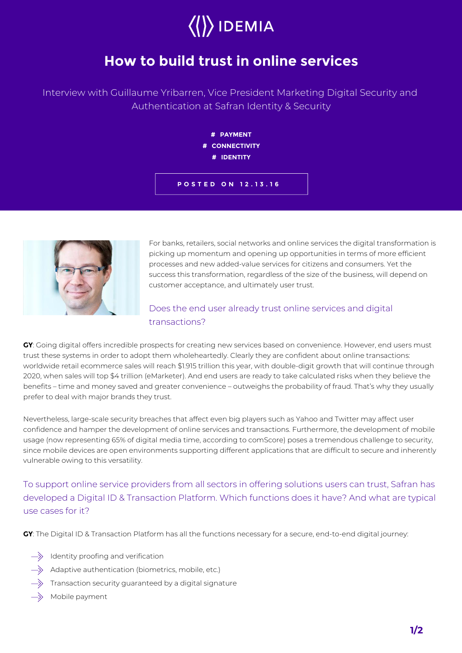# $\langle \rangle$ IDEMIA

## **How to build trust in online services**

Interview with Guillaume Yribarren, Vice President Marketing Digital Security and Authentication at Safran Identity & Security

> **# PAYMENT # CONNECTIVITY # IDENTITY**

**POSTED ON 12.13.16**



For banks, retailers, social networks and online services the digital transformation is picking up momentum and opening up opportunities in terms of more efficient processes and new added-value services for citizens and consumers. Yet the success this transformation, regardless of the size of the business, will depend on customer acceptance, and ultimately user trust.

### Does the end user already trust online services and digital transactions?

**GY**: Going digital offers incredible prospects for creating new services based on convenience. However, end users must trust these systems in order to adopt them wholeheartedly. Clearly they are confident about online transactions: worldwide retail ecommerce sales will reach \$1.915 trillion this year, with double-digit growth that will continue through 2020, when sales will top \$4 trillion (eMarketer). And end users are ready to take calculated risks when they believe the benefits – time and money saved and greater convenience – outweighs the probability of fraud. That's why they usually prefer to deal with major brands they trust.

Nevertheless, large-scale security breaches that affect even big players such as Yahoo and Twitter may affect user confidence and hamper the development of online services and transactions. Furthermore, the development of mobile usage (now representing 65% of digital media time, according to comScore) poses a tremendous challenge to security, since mobile devices are open environments supporting different applications that are difficult to secure and inherently vulnerable owing to this versatility.

To support online service providers from all sectors in offering solutions users can trust, Safran has developed a Digital ID & Transaction Platform. Which functions does it have? And what are typical use cases for it?

**GY**: The Digital ID & Transaction Platform has all the functions necessary for a secure, end-to-end digital journey:

- $\Rightarrow$  Identity proofing and verification
- $\Rightarrow$  Adaptive authentication (biometrics, mobile, etc.)
- Transaction security guaranteed by a digital signature
- Mobile payment